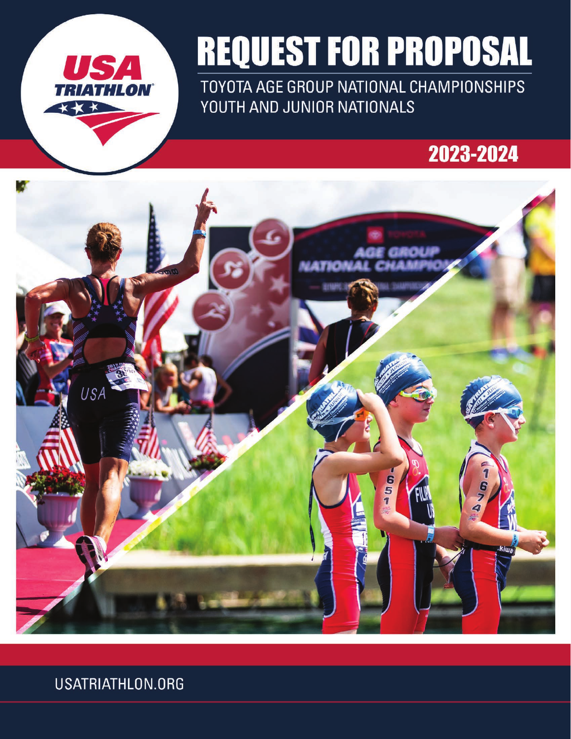

# **REQUEST FOR PROPOSAL**

TOYOTA AGE GROUP NATIONAL CHAMPIONSHIPS YOUTH AND JUNIOR NATIONALS

## 2023-2024



USATRIATHLON.ORG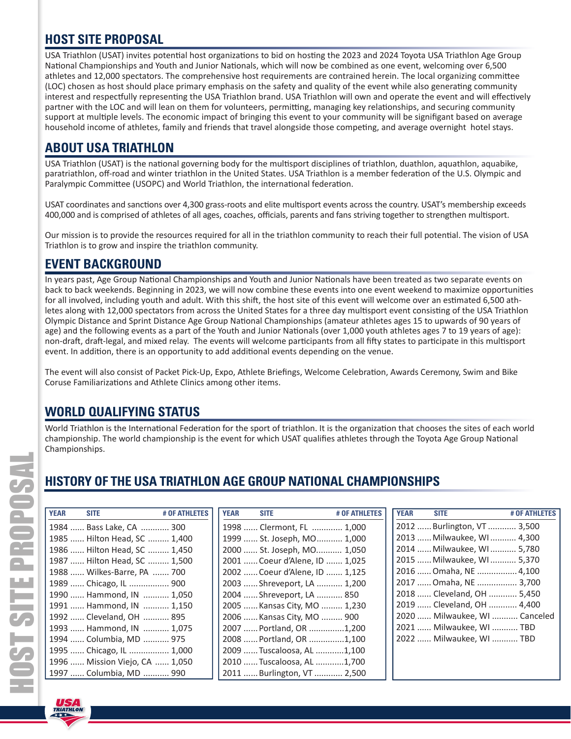## **HOST SITE PROPOSAL**

USA Triathlon (USAT) invites potential host organizations to bid on hosting the 2023 and 2024 Toyota USA Triathlon Age Group National Championships and Youth and Junior Nationals, which will now be combined as one event, welcoming over 6,500 athletes and 12,000 spectators. The comprehensive host requirements are contrained herein. The local organizing committee (LOC) chosen as host should place primary emphasis on the safety and quality of the event while also generating community interest and respectfully representing the USA Triathlon brand. USA Triathlon will own and operate the event and will effectively partner with the LOC and will lean on them for volunteers, permitting, managing key relationships, and securing community support at multiple levels. The economic impact of bringing this event to your community will be signifigant based on average household income of athletes, family and friends that travel alongside those competing, and average overnight hotel stays.

## **ABOUT USA TRIATHLON**

USA Triathlon (USAT) is the national governing body for the multisport disciplines of triathlon, duathlon, aquathlon, aquabike, paratriathlon, off-road and winter triathlon in the United States. USA Triathlon is a member federation of the U.S. Olympic and Paralympic Committee (USOPC) and World Triathlon, the international federation.

USAT coordinates and sanctions over 4,300 grass-roots and elite multisport events across the country. USAT's membership exceeds 400,000 and is comprised of athletes of all ages, coaches, officials, parents and fans striving together to strengthen multisport.

Our mission is to provide the resources required for all in the triathlon community to reach their full potential. The vision of USA Triathlon is to grow and inspire the triathlon community.

## **EVENT BACKGROUND**

In years past, Age Group National Championships and Youth and Junior Nationals have been treated as two separate events on back to back weekends. Beginning in 2023, we will now combine these events into one event weekend to maximize opportunities for all involved, including youth and adult. With this shift, the host site of this event will welcome over an estimated 6,500 athletes along with 12,000 spectators from across the United States for a three day multisport event consisting of the USA Triathlon Olympic Distance and Sprint Distance Age Group National Championships (amateur athletes ages 15 to upwards of 90 years of age) and the following events as a part of the Youth and Junior Nationals (over 1,000 youth athletes ages 7 to 19 years of age): non-draft, draft-legal, and mixed relay. The events will welcome participants from all fifty states to participate in this multisport event. In addition, there is an opportunity to add additional events depending on the venue.

The event will also consist of Packet Pick-Up, Expo, Athlete Briefings, Welcome Celebration, Awards Ceremony, Swim and Bike Coruse Familiarizations and Athlete Clinics among other items.

## **WORLD QUALIFYING STATUS**

World Triathlon is the International Federation for the sport of triathlon. It is the organization that chooses the sites of each world championship. The world championship is the event for which USAT qualifies athletes through the Toyota Age Group National Championships.

## **HISTORY OF THE USA TRIATHLON AGE GROUP NATIONAL CHAMPIONSHIPS**

|                                |               |             |                                |               | HISTORY OF THE USA TRIATHLON AGE GROUP NATIONAL CHAMPIONSHIPS |                               |               |  |
|--------------------------------|---------------|-------------|--------------------------------|---------------|---------------------------------------------------------------|-------------------------------|---------------|--|
| <b>YEAR</b><br><b>SITE</b>     | # OF ATHLETES | <b>YEAR</b> | <b>SITE</b>                    | # OF ATHLETES | <b>YEAR</b>                                                   | <b>SITE</b>                   | # OF ATHLETES |  |
| 1984  Bass Lake, CA  300       |               |             | 1998  Clermont, FL  1,000      |               |                                                               | 2012  Burlington, VT  3,500   |               |  |
| 1985  Hilton Head, SC  1,400   |               |             | 1999  St. Joseph, MO 1,000     |               |                                                               | 2013  Milwaukee, WI  4,300    |               |  |
| 1986  Hilton Head, SC  1,450   |               |             | 2000  St. Joseph, MO 1,050     |               |                                                               | 2014  Milwaukee, WI  5,780    |               |  |
| 1987  Hilton Head, SC  1,500   |               |             | 2001  Coeur d'Alene, ID  1,025 |               |                                                               | 2015  Milwaukee, WI  5,370    |               |  |
| 1988  Wilkes-Barre, PA  700    |               |             | 2002  Coeur d'Alene, ID  1,125 |               |                                                               | 2016  Omaha, NE  4,100        |               |  |
| 1989  Chicago, IL  900         |               |             | 2003  Shreveport, LA  1,200    |               |                                                               | 2017  Omaha, NE  3,700        |               |  |
| 1990  Hammond, IN  1,050       |               |             | 2004  Shreveport, LA  850      |               |                                                               | 2018  Cleveland, OH  5,450    |               |  |
| 1991  Hammond, IN  1,150       |               |             | 2005  Kansas City, MO  1,230   |               |                                                               | 2019  Cleveland, OH  4,400    |               |  |
| 1992  Cleveland, OH  895       |               |             | 2006  Kansas City, MO  900     |               |                                                               | 2020  Milwaukee, WI  Canceled |               |  |
| 1993  Hammond, IN  1,075       |               |             | 2007  Portland, OR 1,200       |               |                                                               | 2021  Milwaukee, WI  TBD      |               |  |
| 1994  Columbia, MD  975        |               |             | 2008  Portland, OR 1,100       |               |                                                               | 2022  Milwaukee, WI  TBD      |               |  |
| 1995  Chicago, IL  1,000       |               |             | 2009  Tuscaloosa, AL 1,100     |               |                                                               |                               |               |  |
| 1996  Mission Viejo, CA  1,050 |               |             | 2010  Tuscaloosa, AL 1,700     |               |                                                               |                               |               |  |
| 1997  Columbia, MD  990        |               |             | 2011  Burlington, VT  2,500    |               |                                                               |                               |               |  |

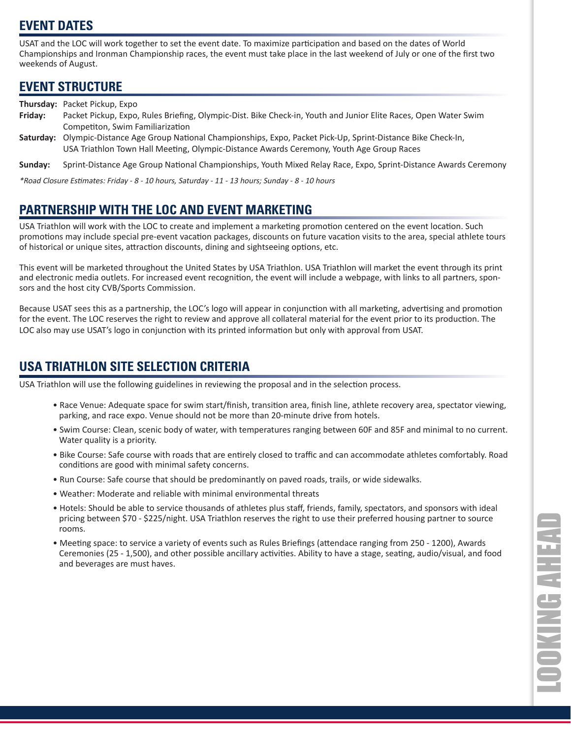## **EVENT DATES**

USAT and the LOC will work together to set the event date. To maximize participation and based on the dates of World Championships and Ironman Championship races, the event must take place in the last weekend of July or one of the first two weekends of August.

## **EVENT STRUCTURE**

**Thursday:** Packet Pickup, Expo

- **Friday:** Packet Pickup, Expo, Rules Briefing, Olympic-Dist. Bike Check-in, Youth and Junior Elite Races, Open Water Swim Competiton, Swim Familiarization
- Saturday: Olympic-Distance Age Group National Championships, Expo, Packet Pick-Up, Sprint-Distance Bike Check-In, USA Triathlon Town Hall Meeting, Olympic-Distance Awards Ceremony, Youth Age Group Races

Sunday: Sprint-Distance Age Group National Championships, Youth Mixed Relay Race, Expo, Sprint-Distance Awards Ceremony

\*Road Closure Estimates: Friday - 8 - 10 hours, Saturday - 11 - 13 hours; Sunday - 8 - 10 hours

## **PARTNERSHIP WITH THE LOC AND EVENT MARKETING**

USA Triathlon will work with the LOC to create and implement a marketing promotion centered on the event location. Such promotions may include special pre-event vacation packages, discounts on future vacation visits to the area, special athlete tours of historical or unique sites, attraction discounts, dining and sightseeing options, etc.

This event will be marketed throughout the United States by USA Triathlon. USA Triathlon will market the event through its print and electronic media outlets. For increased event recognition, the event will include a webpage, with links to all partners, sponsors and the host city CVB/Sports Commission.

Because USAT sees this as a partnership, the LOC's logo will appear in conjunction with all marketing, advertising and promotion for the event. The LOC reserves the right to review and approve all collateral material for the event prior to its production. The LOC also may use USAT's logo in conjunction with its printed information but only with approval from USAT.

## **USA TRIATHLON SITE SELECTION CRITERIA**

USA Triathlon will use the following guidelines in reviewing the proposal and in the selection process.

- Race Venue: Adequate space for swim start/finish, transition area, finish line, athlete recovery area, spectator viewing, parking, and race expo. Venue should not be more than 20-minute drive from hotels.
- Swim Course: Clean, scenic body of water, with temperatures ranging between 60F and 85F and minimal to no current. Water quality is a priority.
- Bike Course: Safe course with roads that are entirely closed to traffic and can accommodate athletes comfortably. Road conditions are good with minimal safety concerns.
- Run Course: Safe course that should be predominantly on paved roads, trails, or wide sidewalks.
- Weather: Moderate and reliable with minimal environmental threats
- Hotels: Should be able to service thousands of athletes plus staff , friends, family, spectators, and sponsors with ideal pricing between \$70 - \$225/night. USA Triathlon reserves the right to use their preferred housing partner to source rooms.
- Meeting space: to service a variety of events such as Rules Briefings (attendace ranging from 250 1200), Awards Ceremonies (25 - 1,500), and other possible ancillary activities. Ability to have a stage, seating, audio/visual, and food and beverages are must haves.

**OOKING AHEAD** LOOKING AHEAD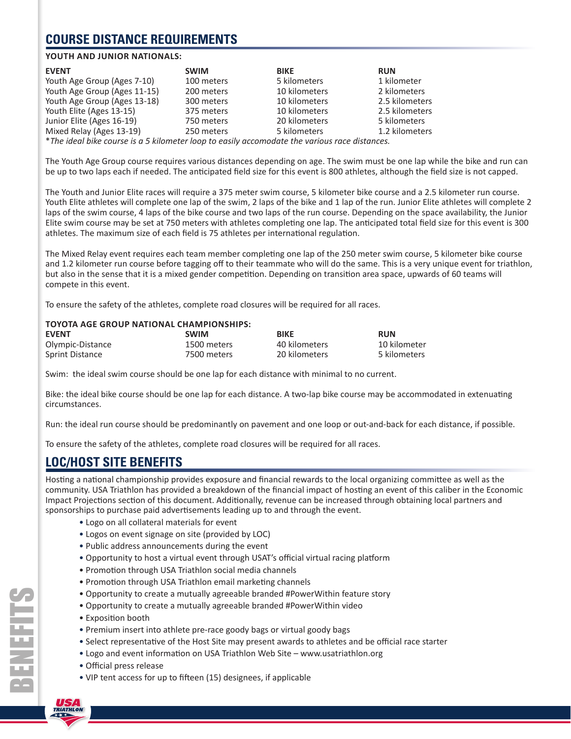## **COURSE DISTANCE REQUIREMENTS**

#### **YOUTH AND JUNIOR NATIONALS:**

| <b>EVENT</b>                                                                                    | <b>SWIM</b> | <b>BIKE</b>   | <b>RUN</b>     |
|-------------------------------------------------------------------------------------------------|-------------|---------------|----------------|
| Youth Age Group (Ages 7-10)                                                                     | 100 meters  | 5 kilometers  | 1 kilometer    |
| Youth Age Group (Ages 11-15)                                                                    | 200 meters  | 10 kilometers | 2 kilometers   |
| Youth Age Group (Ages 13-18)                                                                    | 300 meters  | 10 kilometers | 2.5 kilometers |
| Youth Elite (Ages 13-15)                                                                        | 375 meters  | 10 kilometers | 2.5 kilometers |
| Junior Elite (Ages 16-19)                                                                       | 750 meters  | 20 kilometers | 5 kilometers   |
| Mixed Relay (Ages 13-19)                                                                        | 250 meters  | 5 kilometers  | 1.2 kilometers |
| $*$ The ideal bike course is a E kilometer loop to easily assempted the various rase distances. |             |               |                |

\**The ideal bike course is a 5 kilometer loop to easily accomodate the various race distances.*

The Youth Age Group course requires various distances depending on age. The swim must be one lap while the bike and run can be up to two laps each if needed. The anticipated field size for this event is 800 athletes, although the field size is not capped.

The Youth and Junior Elite races will require a 375 meter swim course, 5 kilometer bike course and a 2.5 kilometer run course. Youth Elite athletes will complete one lap of the swim, 2 laps of the bike and 1 lap of the run. Junior Elite athletes will complete 2 laps of the swim course, 4 laps of the bike course and two laps of the run course. Depending on the space availability, the Junior Elite swim course may be set at 750 meters with athletes completing one lap. The anticipated total field size for this event is 300 athletes. The maximum size of each field is 75 athletes per international regulation.

The Mixed Relay event requires each team member completing one lap of the 250 meter swim course, 5 kilometer bike course and 1.2 kilometer run course before tagging off to their teammate who will do the same. This is a very unique event for triathlon, but also in the sense that it is a mixed gender competition. Depending on transition area space, upwards of 60 teams will compete in this event.

To ensure the safety of the athletes, complete road closures will be required for all races.

#### **TOYOTA AGE GROUP NATIONAL CHAMPIONSHIPS:**

| <b>EVENT</b>           | <b>SWIM</b> | <b>BIKE</b>   | <b>RUN</b>   |
|------------------------|-------------|---------------|--------------|
| Olympic-Distance       | 1500 meters | 40 kilometers | 10 kilometer |
| <b>Sprint Distance</b> | 7500 meters | 20 kilometers | 5 kilometers |

Swim: the ideal swim course should be one lap for each distance with minimal to no current.

Bike: the ideal bike course should be one lap for each distance. A two-lap bike course may be accommodated in extenuating circumstances.

Run: the ideal run course should be predominantly on pavement and one loop or out-and-back for each distance, if possible.

To ensure the safety of the athletes, complete road closures will be required for all races.

#### **LOC/HOST SITE BENEFITS**

Hosting a national championship provides exposure and financial rewards to the local organizing committee as well as the community. USA Triathlon has provided a breakdown of the financial impact of hosting an event of this caliber in the Economic Impact Projections section of this document. Additionally, revenue can be increased through obtaining local partners and sponsorships to purchase paid advertisements leading up to and through the event.

- Logo on all collateral materials for event
- Logos on event signage on site (provided by LOC)
- Public address announcements during the event
- Opportunity to host a virtual event through USAT's official virtual racing platform
- Promotion through USA Triathlon social media channels
- Promotion through USA Triathlon email marketing channels
- Opportunity to create a mutually agreeable branded #PowerWithin feature story
- Opportunity to create a mutually agreeable branded #PowerWithin video
- Exposition booth
- Premium insert into athlete pre-race goody bags or virtual goody bags
- Select representative of the Host Site may present awards to athletes and be official race starter
- Logo and event information on USA Triathlon Web Site www.usatriathlon.org
- Official press release
- VIP tent access for up to fifteen (15) designees, if applicable

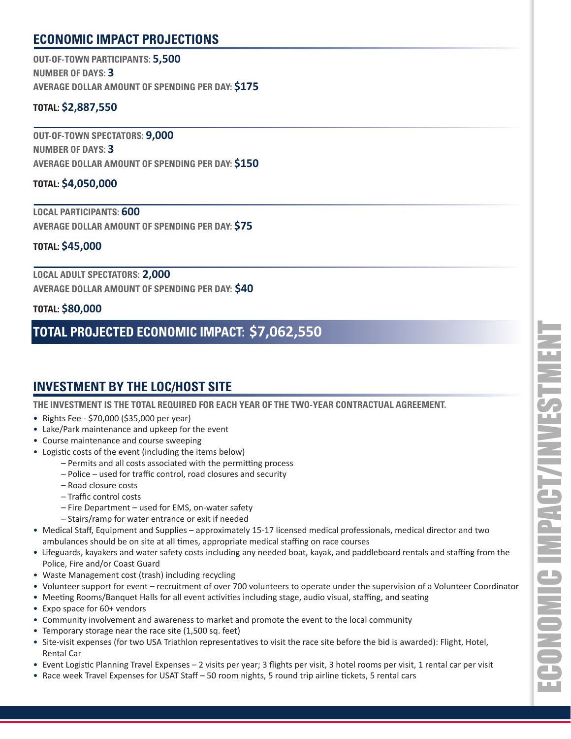## **ECONOMIC IMPACT PROJECTIONS**

**OUT-OF-TOWN PARTICIPANTS: 5,500 NUMBER OF DAYS: 3 AVERAGE DOLLAR AMOUNT OF SPENDING PER DAY: \$175**

#### **TOTAL: \$2,887,550**

**OUT-OF-TOWN SPECTATORS: 9,000 NUMBER OF DAYS: 3 AVERAGE DOLLAR AMOUNT OF SPENDING PER DAY: \$150**

#### **TOTAL: \$4,050,000**

**LOCAL PARTICIPANTS: 600 AVERAGE DOLLAR AMOUNT OF SPENDING PER DAY: \$75**

#### **TOTAL: \$45,000**

**LOCAL ADULT SPECTATORS: 2,000 AVERAGE DOLLAR AMOUNT OF SPENDING PER DAY: \$40**

#### **TOTAL: \$80,000**

## **TOTAL PROJECTED ECONOMIC IMPACT: \$7,062,550**

## **INVESTMENT BY THE LOC/HOST SITE**

**THE INVESTMENT IS THE TOTAL REQUIRED FOR EACH YEAR OF THE TWO-YEAR CONTRACTUAL AGREEMENT.**

- Rights Fee \$70,000 (\$35,000 per year)
- Lake/Park maintenance and upkeep for the event
- Course maintenance and course sweeping
- Logistic costs of the event (including the items below)
	- Permits and all costs associated with the permitting process
	- $-$  Police used for traffic control, road closures and security
	- Road closure costs
	- Traffic control costs
	- Fire Department used for EMS, on-water safety
	- Stairs/ramp for water entrance or exit if needed
- Medical Staff , Equipment and Supplies approximately 15-17 licensed medical professionals, medical director and two ambulances should be on site at all times, appropriate medical staffing on race courses
- Lifeguards, kayakers and water safety costs including any needed boat, kayak, and paddleboard rentals and staffing from the Police, Fire and/or Coast Guard
- Waste Management cost (trash) including recycling
- Volunteer support for event recruitment of over 700 volunteers to operate under the supervision of a Volunteer Coordinator
- Meeting Rooms/Banquet Halls for all event activities including stage, audio visual, staffing, and seating
- Expo space for 60+ vendors
- Community involvement and awareness to market and promote the event to the local community
- Temporary storage near the race site (1,500 sq. feet)
- Site-visit expenses (for two USA Triathlon representatives to visit the race site before the bid is awarded): Flight, Hotel, Rental Car
- Event Logistic Planning Travel Expenses 2 visits per year; 3 flights per visit, 3 hotel rooms per visit, 1 rental car per visit
- Race week Travel Expenses for USAT Staff 50 room nights, 5 round trip airline tickets, 5 rental cars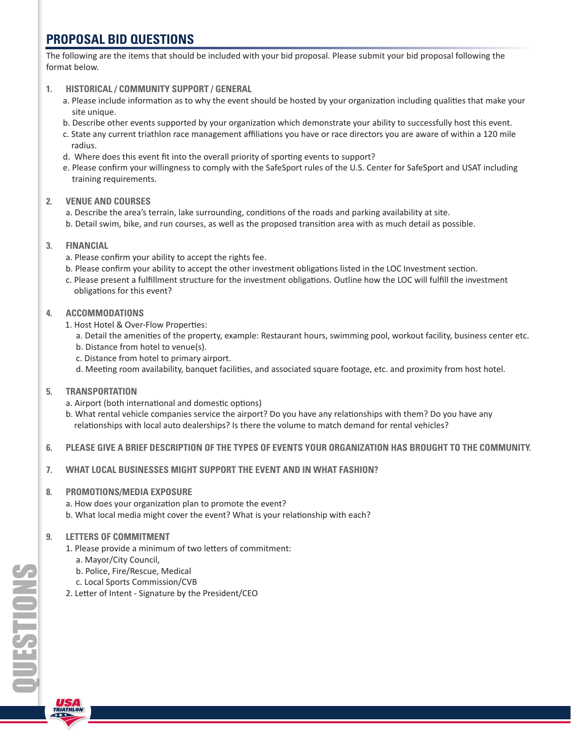## **PROPOSAL BID QUESTIONS**

The following are the items that should be included with your bid proposal. Please submit your bid proposal following the format below.

- **1. HISTORICAL / COMMUNITY SUPPORT / GENERAL**
	- a. Please include information as to why the event should be hosted by your organization including qualities that make your site unique.
	- b. Describe other events supported by your organization which demonstrate your ability to successfully host this event.
	- c. State any current triathlon race management affiliations you have or race directors you are aware of within a 120 mile radius.
	- d. Where does this event fit into the overall priority of sporting events to support?
	- e. Please confirm your willingness to comply with the SafeSport rules of the U.S. Center for SafeSport and USAT including training requirements.
- **2. VENUE AND COURSES**
	- a. Describe the area's terrain, lake surrounding, conditions of the roads and parking availability at site. b. Detail swim, bike, and run courses, as well as the proposed transition area with as much detail as possible.
- **3. FINANCIAL**
	- a. Please confirm your ability to accept the rights fee.
	- b. Please confirm your ability to accept the other investment obligations listed in the LOC Investment section.
	- c. Please present a fulfillment structure for the investment obligations. Outline how the LOC will fulfill the investment obligations for this event?
- **4. ACCOMMODATIONS**
	- 1. Host Hotel & Over-Flow Properties:
		- a. Detail the amenities of the property, example: Restaurant hours, swimming pool, workout facility, business center etc. b. Distance from hotel to venue(s).
		- c. Distance from hotel to primary airport.
		- d. Meeting room availability, banquet facilities, and associated square footage, etc. and proximity from host hotel.
- **5. TRANSPORTATION**
	- a. Airport (both international and domestic options)
	- b. What rental vehicle companies service the airport? Do you have any relationships with them? Do you have any relationships with local auto dealerships? Is there the volume to match demand for rental vehicles?
- **6. PLEASE GIVE A BRIEF DESCRIPTION OF THE TYPES OF EVENTS YOUR ORGANIZATION HAS BROUGHT TO THE COMMUNITY.**
- **7. WHAT LOCAL BUSINESSES MIGHT SUPPORT THE EVENT AND IN WHAT FASHION?**
- **8. PROMOTIONS/MEDIA EXPOSURE**
	- a. How does your organization plan to promote the event? b. What local media might cover the event? What is your relationship with each?
- **9. LETTERS OF COMMITMENT**
	- 1. Please provide a minimum of two letters of commitment:
		- a. Mayor/City Council,
		- b. Police, Fire/Rescue, Medical
		- c. Local Sports Commission/CVB
	- 2. Letter of Intent Signature by the President/CEO